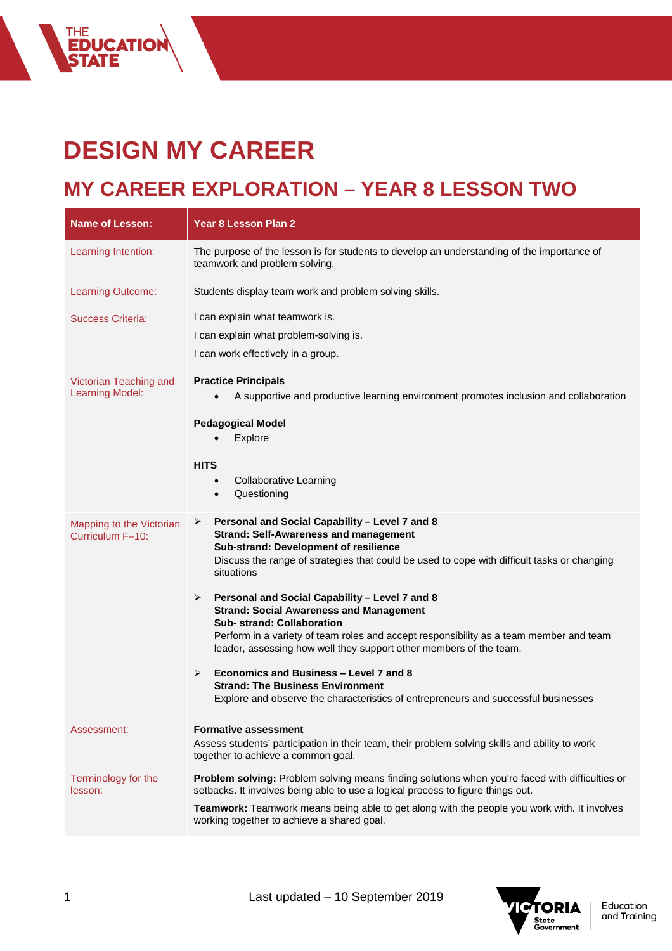## **DESIGN MY CAREER**

THE<br>**EDUCATION<br>STATE** 

## **MY CAREER EXPLORATION – YEAR 8 LESSON TWO**

| <b>Name of Lesson:</b>                           | <b>Year 8 Lesson Plan 2</b>                                                                                                                                                                                                                                                                                                                                                                                                                                                                                                                                                                                                                                                                                                                            |
|--------------------------------------------------|--------------------------------------------------------------------------------------------------------------------------------------------------------------------------------------------------------------------------------------------------------------------------------------------------------------------------------------------------------------------------------------------------------------------------------------------------------------------------------------------------------------------------------------------------------------------------------------------------------------------------------------------------------------------------------------------------------------------------------------------------------|
| Learning Intention:                              | The purpose of the lesson is for students to develop an understanding of the importance of<br>teamwork and problem solving.                                                                                                                                                                                                                                                                                                                                                                                                                                                                                                                                                                                                                            |
| Learning Outcome:                                | Students display team work and problem solving skills.                                                                                                                                                                                                                                                                                                                                                                                                                                                                                                                                                                                                                                                                                                 |
| <b>Success Criteria:</b>                         | I can explain what teamwork is.<br>I can explain what problem-solving is.<br>I can work effectively in a group.                                                                                                                                                                                                                                                                                                                                                                                                                                                                                                                                                                                                                                        |
| Victorian Teaching and<br><b>Learning Model:</b> | <b>Practice Principals</b><br>A supportive and productive learning environment promotes inclusion and collaboration<br><b>Pedagogical Model</b><br>Explore<br><b>HITS</b><br><b>Collaborative Learning</b><br>$\bullet$<br>Questioning<br>$\bullet$                                                                                                                                                                                                                                                                                                                                                                                                                                                                                                    |
| Mapping to the Victorian<br>Curriculum F-10:     | Personal and Social Capability - Level 7 and 8<br>➤<br><b>Strand: Self-Awareness and management</b><br>Sub-strand: Development of resilience<br>Discuss the range of strategies that could be used to cope with difficult tasks or changing<br>situations<br>Personal and Social Capability - Level 7 and 8<br>➤<br><b>Strand: Social Awareness and Management</b><br><b>Sub-strand: Collaboration</b><br>Perform in a variety of team roles and accept responsibility as a team member and team<br>leader, assessing how well they support other members of the team.<br>Economics and Business - Level 7 and 8<br>➤<br><b>Strand: The Business Environment</b><br>Explore and observe the characteristics of entrepreneurs and successful businesses |
| Assessment:                                      | <b>Formative assessment</b><br>Assess students' participation in their team, their problem solving skills and ability to work<br>together to achieve a common goal.                                                                                                                                                                                                                                                                                                                                                                                                                                                                                                                                                                                    |
| Terminology for the<br>lesson:                   | Problem solving: Problem solving means finding solutions when you're faced with difficulties or<br>setbacks. It involves being able to use a logical process to figure things out.<br>Teamwork: Teamwork means being able to get along with the people you work with. It involves<br>working together to achieve a shared goal.                                                                                                                                                                                                                                                                                                                                                                                                                        |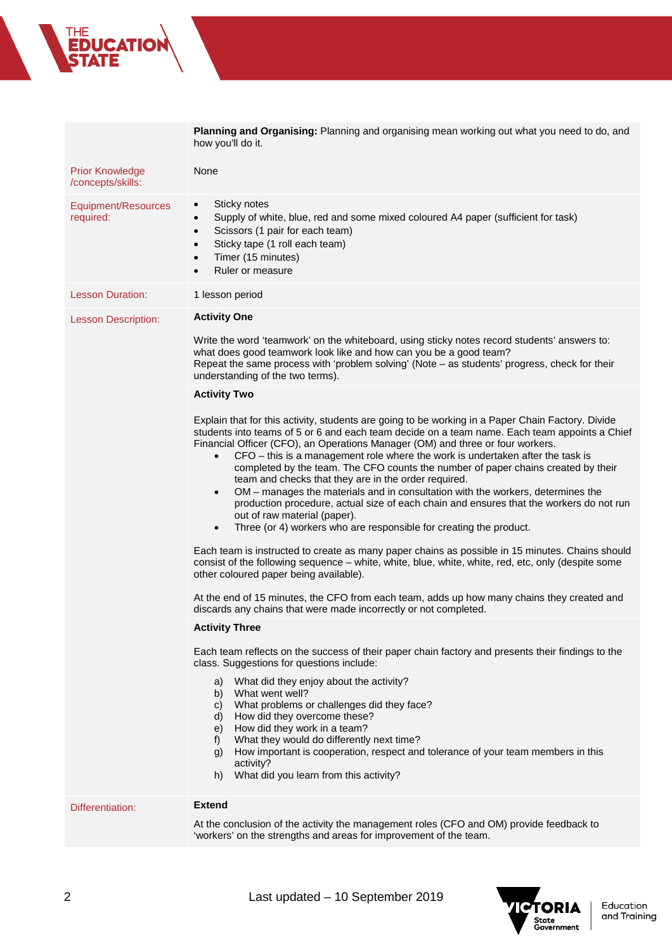how you'll do it. Prior Knowledge /concepts/skills: None Equipment/Resources required: Sticky notes • Supply of white, blue, red and some mixed coloured A4 paper (sufficient for task) Scissors (1 pair for each team) Sticky tape (1 roll each team) • Timer (15 minutes) • Ruler or measure Lesson Duration: 1 lesson period Lesson Description: **Activity One** Write the word 'teamwork' on the whiteboard, using sticky notes record students' answers to: what does good teamwork look like and how can you be a good team? Repeat the same process with 'problem solving' (Note – as students' progress, check for their understanding of the two terms). **Activity Two** Explain that for this activity, students are going to be working in a Paper Chain Factory. Divide students into teams of 5 or 6 and each team decide on a team name. Each team appoints a Chief Financial Officer (CFO), an Operations Manager (OM) and three or four workers. • CFO – this is a management role where the work is undertaken after the task is completed by the team. The CFO counts the number of paper chains created by their team and checks that they are in the order required. • OM – manages the materials and in consultation with the workers, determines the production procedure, actual size of each chain and ensures that the workers do not run out of raw material (paper). • Three (or 4) workers who are responsible for creating the product. Each team is instructed to create as many paper chains as possible in 15 minutes. Chains should consist of the following sequence – white, white, blue, white, white, red, etc, only (despite some other coloured paper being available). At the end of 15 minutes, the CFO from each team, adds up how many chains they created and discards any chains that were made incorrectly or not completed. **Activity Three**  Each team reflects on the success of their paper chain factory and presents their findings to the class. Suggestions for questions include: a) What did they enjoy about the activity? b) What went well? c) What problems or challenges did they face? d) How did they overcome these? e) How did they work in a team? f) What they would do differently next time? g) How important is cooperation, respect and tolerance of your team members in this activity? h) What did you learn from this activity?

**Planning and Organising:** Planning and organising mean working out what you need to do, and

## Differentiation: **Extend**

At the conclusion of the activity the management roles (CFO and OM) provide feedback to 'workers' on the strengths and areas for improvement of the team.